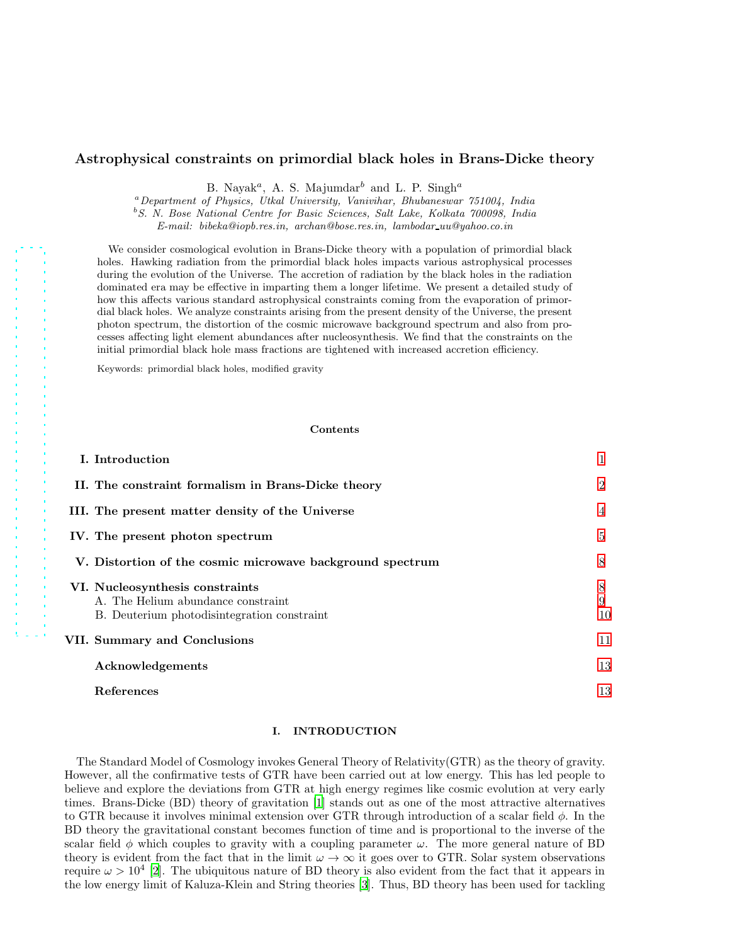# Astrophysical constraints on primordial black holes in Brans-Dicke theory

B. Nayak<sup>a</sup>, A. S. Majumdar<sup>b</sup> and L. P. Singh<sup>a</sup>

<sup>a</sup>Department of Physics, Utkal University, Vanivihar, Bhubaneswar 751004, India <sup>b</sup>S. N. Bose National Centre for Basic Sciences, Salt Lake, Kolkata 700098, India E-mail: bibeka@iopb.res.in, archan@bose.res.in, lambodar uu@yahoo.co.in

We consider cosmological evolution in Brans-Dicke theory with a population of primordial black holes. Hawking radiation from the primordial black holes impacts various astrophysical processes during the evolution of the Universe. The accretion of radiation by the black holes in the radiation dominated era may be effective in imparting them a longer lifetime. We present a detailed study of how this affects various standard astrophysical constraints coming from the evaporation of primordial black holes. We analyze constraints arising from the present density of the Universe, the present photon spectrum, the distortion of the cosmic microwave background spectrum and also from processes affecting light element abundances after nucleosynthesis. We find that the constraints on the initial primordial black hole mass fractions are tightened with increased accretion efficiency.

Keywords: primordial black holes, modified gravity

## Contents

| I. Introduction                                                                                                      |               |
|----------------------------------------------------------------------------------------------------------------------|---------------|
| II. The constraint formalism in Brans-Dicke theory                                                                   | 2             |
| III. The present matter density of the Universe                                                                      | 4             |
| IV. The present photon spectrum                                                                                      | $\frac{5}{2}$ |
| V. Distortion of the cosmic microwave background spectrum                                                            | 8             |
| VI. Nucleosynthesis constraints<br>A. The Helium abundance constraint<br>B. Deuterium photodisintegration constraint | 8<br>9<br>10  |
| VII. Summary and Conclusions                                                                                         | 11            |
| Acknowledgements                                                                                                     | 13            |
| References                                                                                                           | 13            |

## <span id="page-0-0"></span>I. INTRODUCTION

The Standard Model of Cosmology invokes General Theory of Relativity(GTR) as the theory of gravity. However, all the confirmative tests of GTR have been carried out at low energy. This has led people to believe and explore the deviations from GTR at high energy regimes like cosmic evolution at very early times. Brans-Dicke (BD) theory of gravitation [\[1](#page-12-2)] stands out as one of the most attractive alternatives to GTR because it involves minimal extension over GTR through introduction of a scalar field  $\phi$ . In the BD theory the gravitational constant becomes function of time and is proportional to the inverse of the scalar field  $\phi$  which couples to gravity with a coupling parameter  $\omega$ . The more general nature of BD theory is evident from the fact that in the limit  $\omega \to \infty$  it goes over to GTR. Solar system observations require  $\omega > 10^4$  [\[2](#page-12-3)]. The ubiquitous nature of BD theory is also evident from the fact that it appears in the low energy limit of Kaluza-Klein and String theories [\[3\]](#page-12-4). Thus, BD theory has been used for tackling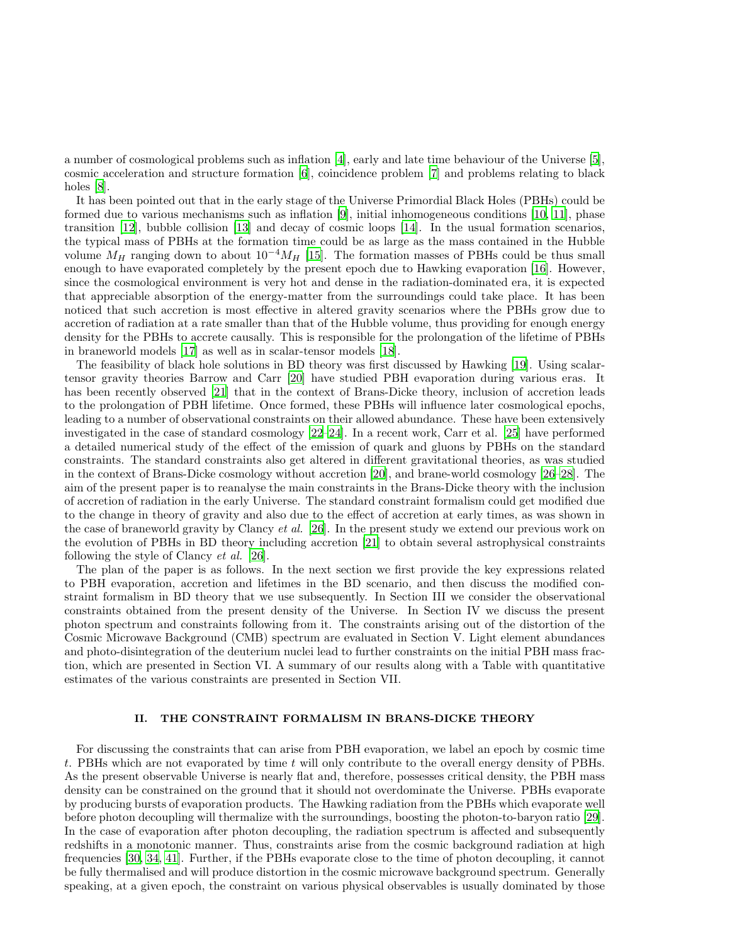a number of cosmological problems such as inflation [\[4](#page-12-5)], early and late time behaviour of the Universe [\[5\]](#page-12-6), cosmic acceleration and structure formation [\[6\]](#page-12-7), coincidence problem [\[7\]](#page-12-8) and problems relating to black holes [\[8\]](#page-12-9).

It has been pointed out that in the early stage of the Universe Primordial Black Holes (PBHs) could be formed due to various mechanisms such as inflation [\[9](#page-12-10)], initial inhomogeneous conditions [\[10](#page-12-11), [11](#page-12-12)], phase transition [\[12](#page-12-13)], bubble collision [\[13](#page-13-0)] and decay of cosmic loops [\[14\]](#page-13-1). In the usual formation scenarios, the typical mass of PBHs at the formation time could be as large as the mass contained in the Hubble volume  $M_H$  ranging down to about  $10^{-4}M_H$  [\[15\]](#page-13-2). The formation masses of PBHs could be thus small enough to have evaporated completely by the present epoch due to Hawking evaporation [\[16\]](#page-13-3). However, since the cosmological environment is very hot and dense in the radiation-dominated era, it is expected that appreciable absorption of the energy-matter from the surroundings could take place. It has been noticed that such accretion is most effective in altered gravity scenarios where the PBHs grow due to accretion of radiation at a rate smaller than that of the Hubble volume, thus providing for enough energy density for the PBHs to accrete causally. This is responsible for the prolongation of the lifetime of PBHs in braneworld models [\[17\]](#page-13-4) as well as in scalar-tensor models [\[18\]](#page-13-5).

The feasibility of black hole solutions in BD theory was first discussed by Hawking [\[19](#page-13-6)]. Using scalartensor gravity theories Barrow and Carr [\[20\]](#page-13-7) have studied PBH evaporation during various eras. It has been recently observed [\[21\]](#page-13-8) that in the context of Brans-Dicke theory, inclusion of accretion leads to the prolongation of PBH lifetime. Once formed, these PBHs will influence later cosmological epochs, leading to a number of observational constraints on their allowed abundance. These have been extensively investigated in the case of standard cosmology [\[22](#page-13-9)[–24\]](#page-13-10). In a recent work, Carr et al. [\[25\]](#page-13-11) have performed a detailed numerical study of the effect of the emission of quark and gluons by PBHs on the standard constraints. The standard constraints also get altered in different gravitational theories, as was studied in the context of Brans-Dicke cosmology without accretion [\[20](#page-13-7)], and brane-world cosmology [\[26](#page-13-12)[–28\]](#page-13-13). The aim of the present paper is to reanalyse the main constraints in the Brans-Dicke theory with the inclusion of accretion of radiation in the early Universe. The standard constraint formalism could get modified due to the change in theory of gravity and also due to the effect of accretion at early times, as was shown in the case of braneworld gravity by Clancy et al. [\[26\]](#page-13-12). In the present study we extend our previous work on the evolution of PBHs in BD theory including accretion [\[21\]](#page-13-8) to obtain several astrophysical constraints following the style of Clancy et al. [\[26\]](#page-13-12).

The plan of the paper is as follows. In the next section we first provide the key expressions related to PBH evaporation, accretion and lifetimes in the BD scenario, and then discuss the modified constraint formalism in BD theory that we use subsequently. In Section III we consider the observational constraints obtained from the present density of the Universe. In Section IV we discuss the present photon spectrum and constraints following from it. The constraints arising out of the distortion of the Cosmic Microwave Background (CMB) spectrum are evaluated in Section V. Light element abundances and photo-disintegration of the deuterium nuclei lead to further constraints on the initial PBH mass fraction, which are presented in Section VI. A summary of our results along with a Table with quantitative estimates of the various constraints are presented in Section VII.

# <span id="page-1-0"></span>II. THE CONSTRAINT FORMALISM IN BRANS-DICKE THEORY

For discussing the constraints that can arise from PBH evaporation, we label an epoch by cosmic time t. PBHs which are not evaporated by time t will only contribute to the overall energy density of PBHs. As the present observable Universe is nearly flat and, therefore, possesses critical density, the PBH mass density can be constrained on the ground that it should not overdominate the Universe. PBHs evaporate by producing bursts of evaporation products. The Hawking radiation from the PBHs which evaporate well before photon decoupling will thermalize with the surroundings, boosting the photon-to-baryon ratio [\[29\]](#page-13-14). In the case of evaporation after photon decoupling, the radiation spectrum is affected and subsequently redshifts in a monotonic manner. Thus, constraints arise from the cosmic background radiation at high frequencies [\[30,](#page-13-15) [34](#page-13-16), [41](#page-14-0)]. Further, if the PBHs evaporate close to the time of photon decoupling, it cannot be fully thermalised and will produce distortion in the cosmic microwave background spectrum. Generally speaking, at a given epoch, the constraint on various physical observables is usually dominated by those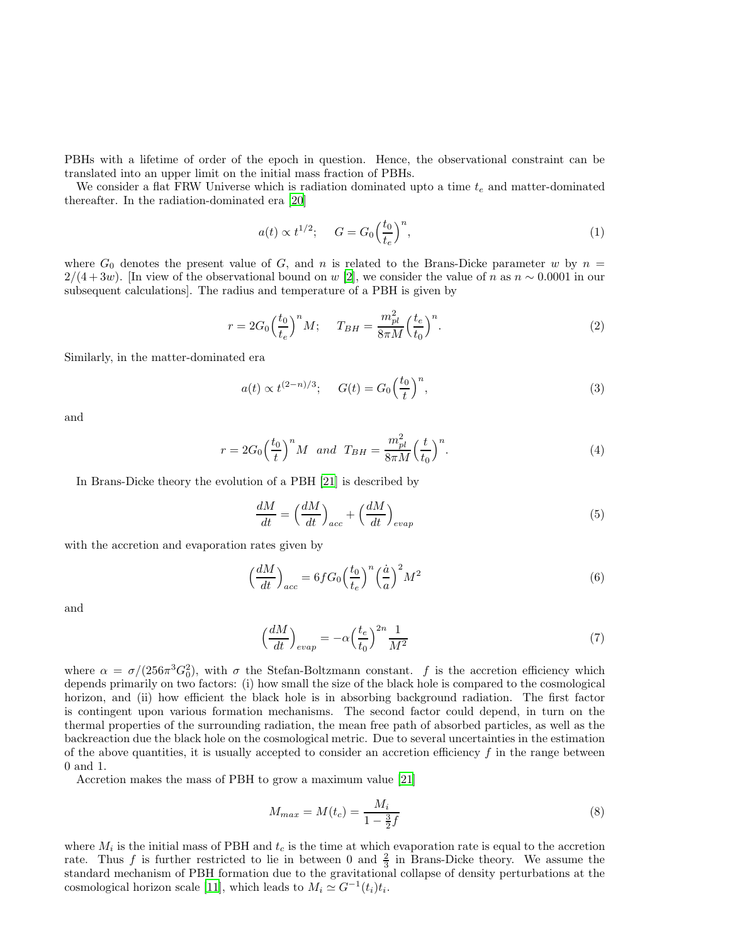PBHs with a lifetime of order of the epoch in question. Hence, the observational constraint can be translated into an upper limit on the initial mass fraction of PBHs.

We consider a flat FRW Universe which is radiation dominated upto a time  $t_e$  and matter-dominated thereafter. In the radiation-dominated era [\[20\]](#page-13-7)

$$
a(t) \propto t^{1/2}; \quad G = G_0 \left(\frac{t_0}{t_e}\right)^n,\tag{1}
$$

where  $G_0$  denotes the present value of G, and n is related to the Brans-Dicke parameter w by  $n =$  $2/(4+3w)$ . [In view of the observational bound on w [\[2\]](#page-12-3), we consider the value of n as  $n \sim 0.0001$  in our subsequent calculations]. The radius and temperature of a PBH is given by

$$
r = 2G_0 \left(\frac{t_0}{t_e}\right)^n M; \quad T_{BH} = \frac{m_{pl}^2}{8\pi M} \left(\frac{t_e}{t_0}\right)^n.
$$
 (2)

Similarly, in the matter-dominated era

$$
a(t) \propto t^{(2-n)/3}
$$
;  $G(t) = G_0 \left(\frac{t_0}{t}\right)^n$ , (3)

and

$$
r = 2G_0 \left(\frac{t_0}{t}\right)^n M \quad and \quad T_{BH} = \frac{m_{pl}^2}{8\pi M} \left(\frac{t}{t_0}\right)^n. \tag{4}
$$

In Brans-Dicke theory the evolution of a PBH [\[21](#page-13-8)] is described by

$$
\frac{dM}{dt} = \left(\frac{dM}{dt}\right)_{acc} + \left(\frac{dM}{dt}\right)_{evap} \tag{5}
$$

with the accretion and evaporation rates given by

$$
\left(\frac{dM}{dt}\right)_{acc} = 6fG_0 \left(\frac{t_0}{t_e}\right)^n \left(\frac{\dot{a}}{a}\right)^2 M^2
$$
\n(6)

and

<span id="page-2-1"></span>
$$
\left(\frac{dM}{dt}\right)_{evap} = -\alpha \left(\frac{t_e}{t_0}\right)^{2n} \frac{1}{M^2} \tag{7}
$$

where  $\alpha = \sigma/(256\pi^3 G_0^2)$ , with  $\sigma$  the Stefan-Boltzmann constant. f is the accretion efficiency which depends primarily on two factors: (i) how small the size of the black hole is compared to the cosmological horizon, and (ii) how efficient the black hole is in absorbing background radiation. The first factor is contingent upon various formation mechanisms. The second factor could depend, in turn on the thermal properties of the surrounding radiation, the mean free path of absorbed particles, as well as the backreaction due the black hole on the cosmological metric. Due to several uncertainties in the estimation of the above quantities, it is usually accepted to consider an accretion efficiency  $f$  in the range between 0 and 1.

Accretion makes the mass of PBH to grow a maximum value [\[21](#page-13-8)]

<span id="page-2-0"></span>
$$
M_{max} = M(t_c) = \frac{M_i}{1 - \frac{3}{2}f}
$$
\n(8)

where  $M_i$  is the initial mass of PBH and  $t_c$  is the time at which evaporation rate is equal to the accretion rate. Thus f is further restricted to lie in between 0 and  $\frac{2}{3}$  in Brans-Dicke theory. We assume the standard mechanism of PBH formation due to the gravitational collapse of density perturbations at the cosmological horizon scale [\[11\]](#page-12-12), which leads to  $M_i \simeq G^{-1}(t_i)t_i$ .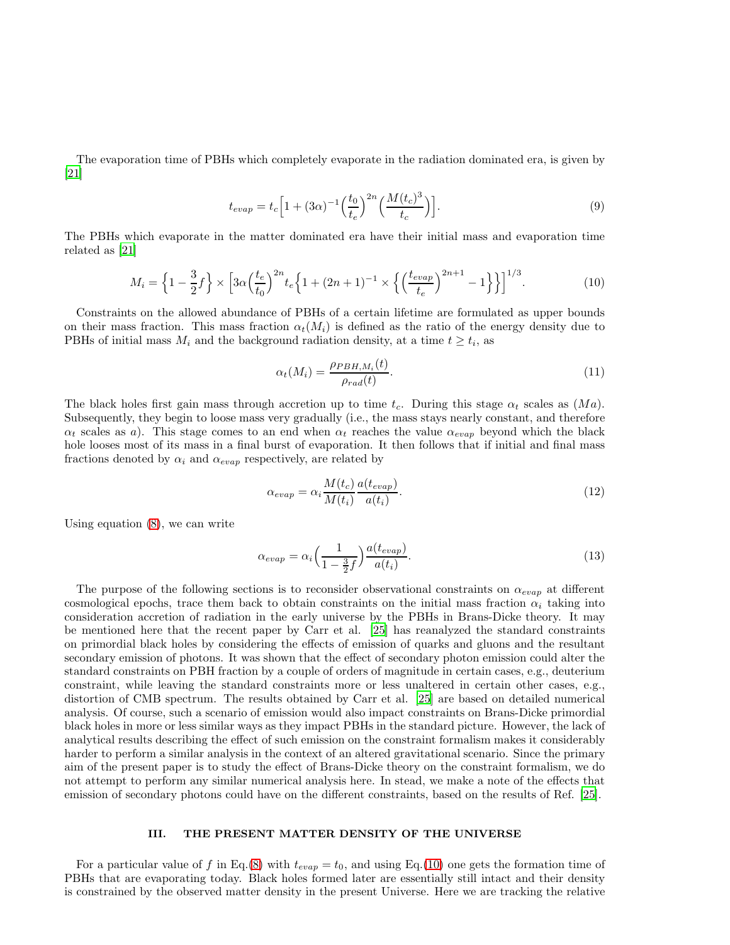The evaporation time of PBHs which completely evaporate in the radiation dominated era, is given by [\[21\]](#page-13-8)

$$
t_{evap} = t_c \left[ 1 + (3\alpha)^{-1} \left( \frac{t_0}{t_e} \right)^{2n} \left( \frac{M(t_c)^3}{t_c} \right) \right].
$$
 (9)

The PBHs which evaporate in the matter dominated era have their initial mass and evaporation time related as [\[21](#page-13-8)]

<span id="page-3-1"></span>
$$
M_i = \left\{1 - \frac{3}{2}f\right\} \times \left[3\alpha \left(\frac{t_e}{t_0}\right)^{2n} t_e \left\{1 + (2n+1)^{-1} \times \left\{ \left(\frac{t_{evap}}{t_e}\right)^{2n+1} - 1\right\} \right\}\right]^{1/3}.
$$
 (10)

Constraints on the allowed abundance of PBHs of a certain lifetime are formulated as upper bounds on their mass fraction. This mass fraction  $\alpha_t(M_i)$  is defined as the ratio of the energy density due to PBHs of initial mass  $M_i$  and the background radiation density, at a time  $t \geq t_i$ , as

$$
\alpha_t(M_i) = \frac{\rho_{PBH, M_i}(t)}{\rho_{rad}(t)}.
$$
\n(11)

The black holes first gain mass through accretion up to time  $t_c$ . During this stage  $\alpha_t$  scales as  $(Ma)$ . Subsequently, they begin to loose mass very gradually (i.e., the mass stays nearly constant, and therefore  $\alpha_t$  scales as a). This stage comes to an end when  $\alpha_t$  reaches the value  $\alpha_{evap}$  beyond which the black hole looses most of its mass in a final burst of evaporation. It then follows that if initial and final mass fractions denoted by  $\alpha_i$  and  $\alpha_{evap}$  respectively, are related by

$$
\alpha_{evap} = \alpha_i \frac{M(t_c)}{M(t_i)} \frac{a(t_{evap})}{a(t_i)}.
$$
\n(12)

Using equation [\(8\)](#page-2-0), we can write

<span id="page-3-2"></span>
$$
\alpha_{evap} = \alpha_i \left(\frac{1}{1 - \frac{3}{2}f}\right) \frac{a(t_{evap})}{a(t_i)}.\tag{13}
$$

The purpose of the following sections is to reconsider observational constraints on  $\alpha_{evap}$  at different cosmological epochs, trace them back to obtain constraints on the initial mass fraction  $\alpha_i$  taking into consideration accretion of radiation in the early universe by the PBHs in Brans-Dicke theory. It may be mentioned here that the recent paper by Carr et al. [\[25](#page-13-11)] has reanalyzed the standard constraints on primordial black holes by considering the effects of emission of quarks and gluons and the resultant secondary emission of photons. It was shown that the effect of secondary photon emission could alter the standard constraints on PBH fraction by a couple of orders of magnitude in certain cases, e.g., deuterium constraint, while leaving the standard constraints more or less unaltered in certain other cases, e.g., distortion of CMB spectrum. The results obtained by Carr et al. [\[25](#page-13-11)] are based on detailed numerical analysis. Of course, such a scenario of emission would also impact constraints on Brans-Dicke primordial black holes in more or less similar ways as they impact PBHs in the standard picture. However, the lack of analytical results describing the effect of such emission on the constraint formalism makes it considerably harder to perform a similar analysis in the context of an altered gravitational scenario. Since the primary aim of the present paper is to study the effect of Brans-Dicke theory on the constraint formalism, we do not attempt to perform any similar numerical analysis here. In stead, we make a note of the effects that emission of secondary photons could have on the different constraints, based on the results of Ref. [\[25](#page-13-11)].

# <span id="page-3-0"></span>III. THE PRESENT MATTER DENSITY OF THE UNIVERSE

For a particular value of f in Eq.[\(8\)](#page-2-0) with  $t_{evap} = t_0$ , and using Eq.[\(10\)](#page-3-1) one gets the formation time of PBHs that are evaporating today. Black holes formed later are essentially still intact and their density is constrained by the observed matter density in the present Universe. Here we are tracking the relative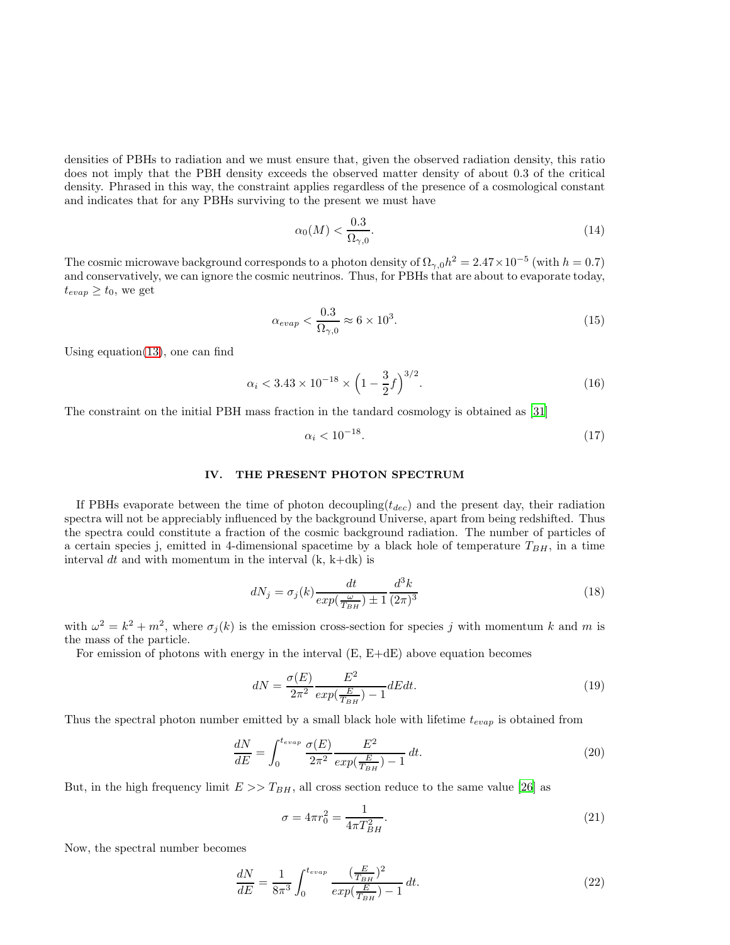densities of PBHs to radiation and we must ensure that, given the observed radiation density, this ratio does not imply that the PBH density exceeds the observed matter density of about 0.3 of the critical density. Phrased in this way, the constraint applies regardless of the presence of a cosmological constant and indicates that for any PBHs surviving to the present we must have

$$
\alpha_0(M) < \frac{0.3}{\Omega_{\gamma,0}}.\tag{14}
$$

The cosmic microwave background corresponds to a photon density of  $\Omega_{\gamma,0}h^2 = 2.47 \times 10^{-5}$  (with  $h = 0.7$ ) and conservatively, we can ignore the cosmic neutrinos. Thus, for PBHs that are about to evaporate today,  $t_{evap} \geq t_0$ , we get

$$
\alpha_{evap} < \frac{0.3}{\Omega_{\gamma,0}} \approx 6 \times 10^3. \tag{15}
$$

Using equation[\(13\)](#page-3-2), one can find

$$
\alpha_i < 3.43 \times 10^{-18} \times \left(1 - \frac{3}{2}f\right)^{3/2}.\tag{16}
$$

The constraint on the initial PBH mass fraction in the tandard cosmology is obtained as [\[31](#page-13-17)]

$$
\alpha_i < 10^{-18}.\tag{17}
$$

#### <span id="page-4-0"></span>IV. THE PRESENT PHOTON SPECTRUM

If PBHs evaporate between the time of photon decoupling( $t_{dec}$ ) and the present day, their radiation spectra will not be appreciably influenced by the background Universe, apart from being redshifted. Thus the spectra could constitute a fraction of the cosmic background radiation. The number of particles of a certain species j, emitted in 4-dimensional spacetime by a black hole of temperature  $T_{BH}$ , in a time interval dt and with momentum in the interval  $(k, k+dk)$  is

$$
dN_j = \sigma_j(k) \frac{dt}{exp(\frac{\omega}{T_{BH}}) \pm 1} \frac{d^3k}{(2\pi)^3}
$$
\n(18)

with  $\omega^2 = k^2 + m^2$ , where  $\sigma_j(k)$  is the emission cross-section for species j with momentum k and m is the mass of the particle.

For emission of photons with energy in the interval  $(E, E+ dE)$  above equation becomes

$$
dN = \frac{\sigma(E)}{2\pi^2} \frac{E^2}{exp(\frac{E}{T_{BH}}) - 1} dE dt.
$$
 (19)

Thus the spectral photon number emitted by a small black hole with lifetime  $t_{evap}$  is obtained from

$$
\frac{dN}{dE} = \int_0^{t_{evap}} \frac{\sigma(E)}{2\pi^2} \frac{E^2}{exp(\frac{E}{T_{BH}}) - 1} dt.
$$
\n(20)

But, in the high frequency limit  $E >> T_{BH}$ , all cross section reduce to the same value [\[26](#page-13-12)] as

$$
\sigma = 4\pi r_0^2 = \frac{1}{4\pi T_{BH}^2}.
$$
\n(21)

Now, the spectral number becomes

<span id="page-4-1"></span>
$$
\frac{dN}{dE} = \frac{1}{8\pi^3} \int_0^{t_{evap}} \frac{(\frac{E}{T_{BH}})^2}{exp(\frac{E}{T_{BH}}) - 1} dt.
$$
\n(22)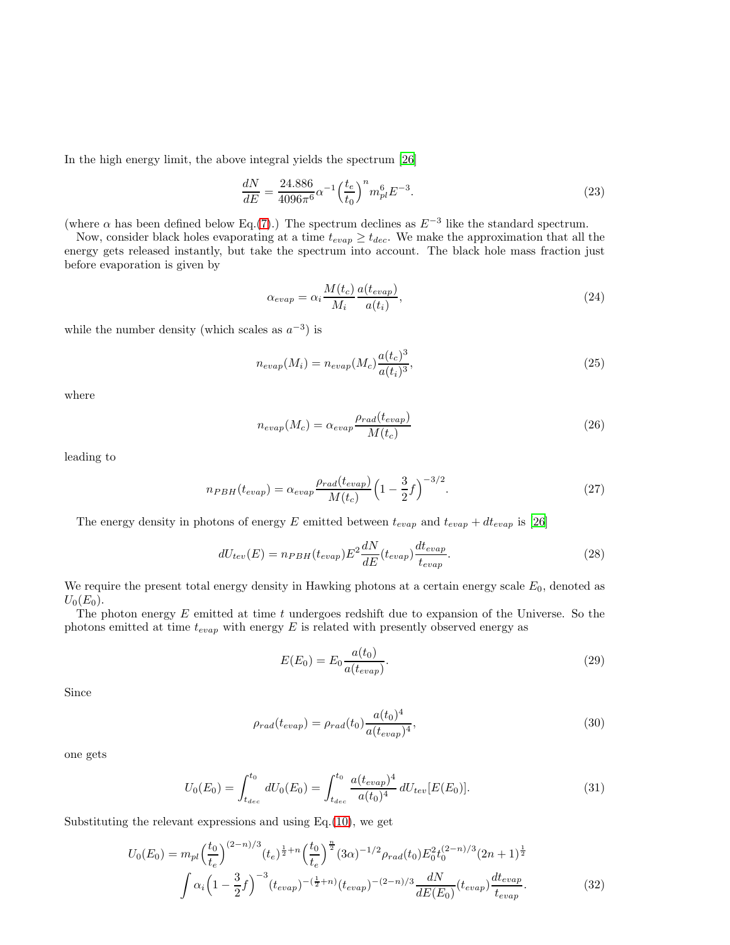In the high energy limit, the above integral yields the spectrum [\[26](#page-13-12)]

$$
\frac{dN}{dE} = \frac{24.886}{4096\pi^6} \alpha^{-1} \left(\frac{t_e}{t_0}\right)^n m_{pl}^6 E^{-3}.\tag{23}
$$

(where  $\alpha$  has been defined below Eq.[\(7\)](#page-2-1).) The spectrum declines as  $E^{-3}$  like the standard spectrum.

Now, consider black holes evaporating at a time  $t_{evap} \geq t_{dec}$ . We make the approximation that all the energy gets released instantly, but take the spectrum into account. The black hole mass fraction just before evaporation is given by

$$
\alpha_{evap} = \alpha_i \frac{M(t_c)}{M_i} \frac{a(t_{evap})}{a(t_i)},\tag{24}
$$

while the number density (which scales as  $a^{-3}$ ) is

$$
n_{evap}(M_i) = n_{evap}(M_c) \frac{a(t_c)^3}{a(t_i)^3},
$$
\n(25)

where

$$
n_{evap}(M_c) = \alpha_{evap} \frac{\rho_{rad}(t_{evap})}{M(t_c)}
$$
\n(26)

leading to

$$
n_{PBH}(t_{evap}) = \alpha_{evap} \frac{\rho_{rad}(t_{evap})}{M(t_c)} \left(1 - \frac{3}{2}f\right)^{-3/2}.\tag{27}
$$

The energy density in photons of energy E emitted between  $t_{evap}$  and  $t_{evap} + dt_{evap}$  is [\[26](#page-13-12)]

$$
dU_{tev}(E) = n_{PBH}(t_{evap})E^2 \frac{dN}{dE}(t_{evap}) \frac{dt_{evap}}{t_{evap}}.
$$
\n(28)

We require the present total energy density in Hawking photons at a certain energy scale  $E_0$ , denoted as  $U_0(E_0)$ .

The photon energy  $E$  emitted at time t undergoes redshift due to expansion of the Universe. So the photons emitted at time  $t_{evap}$  with energy E is related with presently observed energy as

$$
E(E_0) = E_0 \frac{a(t_0)}{a(t_{evap})}.
$$
\n(29)

Since

$$
\rho_{rad}(t_{evap}) = \rho_{rad}(t_0) \frac{a(t_0)^4}{a(t_{evap})^4},\tag{30}
$$

one gets

$$
U_0(E_0) = \int_{t_{dec}}^{t_0} dU_0(E_0) = \int_{t_{dec}}^{t_0} \frac{a(t_{evap})^4}{a(t_0)^4} dU_{tev}[E(E_0)].
$$
\n(31)

Substituting the relevant expressions and using  $Eq.(10)$  $Eq.(10)$ , we get

<span id="page-5-0"></span>
$$
U_0(E_0) = m_{pl} \left(\frac{t_0}{t_e}\right)^{(2-n)/3} (t_e)^{\frac{1}{2}+n} \left(\frac{t_0}{t_e}\right)^{\frac{n}{2}} (3\alpha)^{-1/2} \rho_{rad}(t_0) E_0^2 t_0^{(2-n)/3} (2n+1)^{\frac{1}{2}}
$$

$$
\int \alpha_i \left(1 - \frac{3}{2}f\right)^{-3} (t_{evap})^{-(\frac{1}{2}+n)} (t_{evap})^{-(2-n)/3} \frac{dN}{dE(E_0)} (t_{evap}) \frac{dt_{evap}}{t_{evap}}.
$$
(32)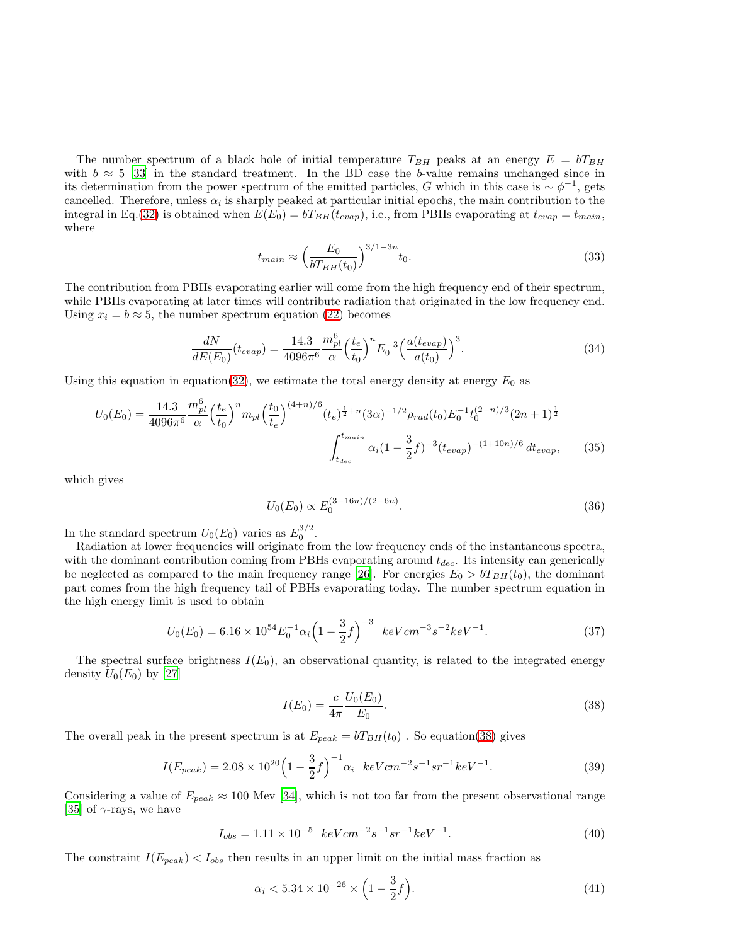The number spectrum of a black hole of initial temperature  $T_{BH}$  peaks at an energy  $E = bT_{BH}$ with  $b \approx 5$  [\[33](#page-13-18)] in the standard treatment. In the BD case the b-value remains unchanged since in its determination from the power spectrum of the emitted particles, G which in this case is  $\sim \phi^{-1}$ , gets cancelled. Therefore, unless  $\alpha_i$  is sharply peaked at particular initial epochs, the main contribution to the integral in Eq.[\(32\)](#page-5-0) is obtained when  $E(E_0) = bT_{BH}(t_{evap})$ , i.e., from PBHs evaporating at  $t_{evap} = t_{main}$ , where

$$
t_{main} \approx \left(\frac{E_0}{bT_{BH}(t_0)}\right)^{3/1-3n} t_0.
$$
\n(33)

The contribution from PBHs evaporating earlier will come from the high frequency end of their spectrum, while PBHs evaporating at later times will contribute radiation that originated in the low frequency end. Using  $x_i = b \approx 5$ , the number spectrum equation [\(22\)](#page-4-1) becomes

$$
\frac{dN}{dE(E_0)}(t_{evap}) = \frac{14.3}{4096\pi^6} \frac{m_{pl}^6}{\alpha} \left(\frac{t_e}{t_0}\right)^n E_0^{-3} \left(\frac{a(t_{evap})}{a(t_0)}\right)^3.
$$
\n(34)

Using this equation in equation[\(32\)](#page-5-0), we estimate the total energy density at energy  $E_0$  as

$$
U_0(E_0) = \frac{14.3}{4096\pi^6} \frac{m_{pl}^6}{\alpha} \left(\frac{t_e}{t_0}\right)^n m_{pl} \left(\frac{t_0}{t_e}\right)^{(4+n)/6} (t_e)^{\frac{1}{2}+n} (3\alpha)^{-1/2} \rho_{rad}(t_0) E_0^{-1} t_0^{(2-n)/3} (2n+1)^{\frac{1}{2}}
$$

$$
\int_{t_{dec}}^{t_{main}} \alpha_i (1 - \frac{3}{2}f)^{-3} (t_{evap})^{-(1+10n)/6} dt_{evap}, \qquad (35)
$$

which gives

$$
U_0(E_0) \propto E_0^{(3-16n)/(2-6n)}.\tag{36}
$$

In the standard spectrum  $U_0(E_0)$  varies as  $E_0^{3/2}$ .

Radiation at lower frequencies will originate from the low frequency ends of the instantaneous spectra, with the dominant contribution coming from PBHs evaporating around  $t_{dec}$ . Its intensity can generically be neglected as compared to the main frequency range [\[26](#page-13-12)]. For energies  $E_0 > bT_{BH}(t_0)$ , the dominant part comes from the high frequency tail of PBHs evaporating today. The number spectrum equation in the high energy limit is used to obtain

$$
U_0(E_0) = 6.16 \times 10^{54} E_0^{-1} \alpha_i \left(1 - \frac{3}{2} f\right)^{-3} \ keV cm^{-3} s^{-2} keV^{-1}.
$$
 (37)

The spectral surface brightness  $I(E_0)$ , an observational quantity, is related to the integrated energy density  $U_0(E_0)$  by [\[27](#page-13-19)]

<span id="page-6-0"></span>
$$
I(E_0) = \frac{c}{4\pi} \frac{U_0(E_0)}{E_0}.
$$
\n(38)

The overall peak in the present spectrum is at  $E_{peak} = bT_{BH}(t_0)$ . So equation[\(38\)](#page-6-0) gives

$$
I(E_{peak}) = 2.08 \times 10^{20} \left(1 - \frac{3}{2}f\right)^{-1} \alpha_i \ keV cm^{-2} s^{-1} s r^{-1} keV^{-1}.
$$
 (39)

Considering a value of  $E_{peak} \approx 100$  Mev [\[34\]](#page-13-16), which is not too far from the present observational range [\[35\]](#page-13-20) of  $\gamma$ -rays, we have

$$
I_{obs} = 1.11 \times 10^{-5} \ keV cm^{-2} s^{-1} sr^{-1} keV^{-1}.
$$
 (40)

The constraint  $I(E_{peak}) < I_{obs}$  then results in an upper limit on the initial mass fraction as

$$
\alpha_i < 5.34 \times 10^{-26} \times \left(1 - \frac{3}{2}f\right). \tag{41}
$$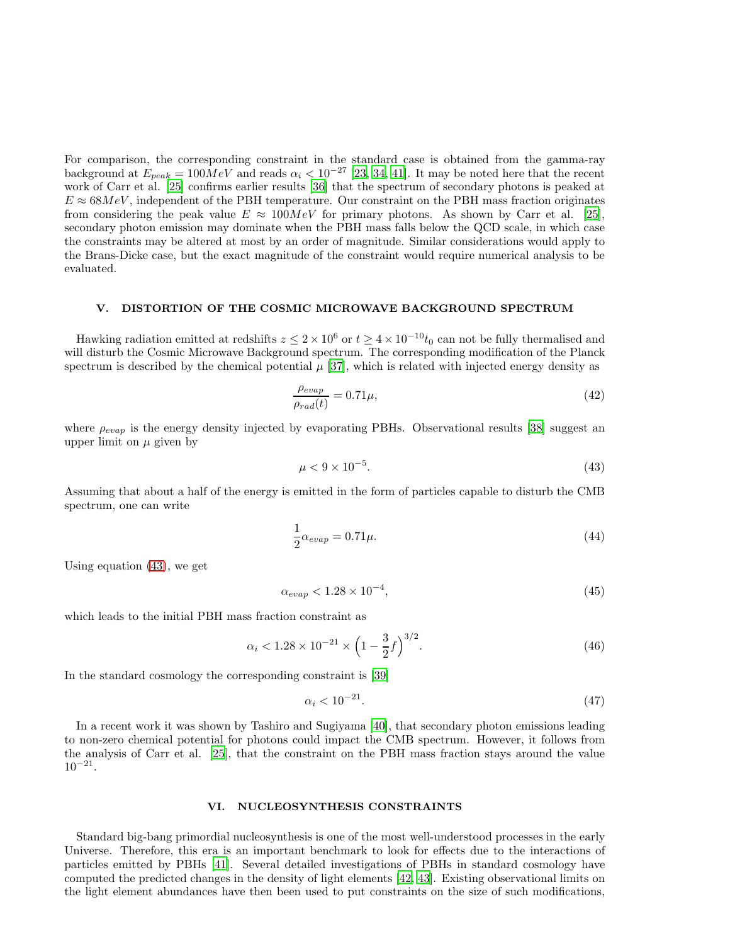For comparison, the corresponding constraint in the standard case is obtained from the gamma-ray background at  $E_{peak} = 100MeV$  and reads  $\alpha_i < 10^{-27}$  [\[23](#page-13-21), [34](#page-13-16), [41\]](#page-14-0). It may be noted here that the recent work of Carr et al. [\[25\]](#page-13-11) confirms earlier results [\[36\]](#page-13-22) that the spectrum of secondary photons is peaked at  $E \approx 68 MeV$ , independent of the PBH temperature. Our constraint on the PBH mass fraction originates from considering the peak value  $E \approx 100 MeV$  for primary photons. As shown by Carr et al. [\[25\]](#page-13-11), secondary photon emission may dominate when the PBH mass falls below the QCD scale, in which case the constraints may be altered at most by an order of magnitude. Similar considerations would apply to the Brans-Dicke case, but the exact magnitude of the constraint would require numerical analysis to be evaluated.

## <span id="page-7-0"></span>V. DISTORTION OF THE COSMIC MICROWAVE BACKGROUND SPECTRUM

Hawking radiation emitted at redshifts  $z \le 2 \times 10^6$  or  $t \ge 4 \times 10^{-10} t_0$  can not be fully thermalised and will disturb the Cosmic Microwave Background spectrum. The corresponding modification of the Planck spectrum is described by the chemical potential  $\mu$  [\[37\]](#page-13-23), which is related with injected energy density as

$$
\frac{\rho_{evap}}{\rho_{rad}(t)} = 0.71\mu,\tag{42}
$$

where  $\rho_{evap}$  is the energy density injected by evaporating PBHs. Observational results [\[38\]](#page-13-24) suggest an upper limit on  $\mu$  given by

<span id="page-7-2"></span>
$$
\mu < 9 \times 10^{-5}.\tag{43}
$$

Assuming that about a half of the energy is emitted in the form of particles capable to disturb the CMB spectrum, one can write

$$
\frac{1}{2}\alpha_{evap} = 0.71\mu.\tag{44}
$$

Using equation [\(43\)](#page-7-2), we get

$$
\alpha_{evap} < 1.28 \times 10^{-4},\tag{45}
$$

which leads to the initial PBH mass fraction constraint as

$$
\alpha_i < 1.28 \times 10^{-21} \times \left(1 - \frac{3}{2}f\right)^{3/2}.\tag{46}
$$

In the standard cosmology the corresponding constraint is [\[39\]](#page-13-25)

$$
\alpha_i < 10^{-21}.\tag{47}
$$

In a recent work it was shown by Tashiro and Sugiyama [\[40](#page-14-1)], that secondary photon emissions leading to non-zero chemical potential for photons could impact the CMB spectrum. However, it follows from the analysis of Carr et al. [\[25\]](#page-13-11), that the constraint on the PBH mass fraction stays around the value  $10^{-21}$ .

## <span id="page-7-1"></span>VI. NUCLEOSYNTHESIS CONSTRAINTS

Standard big-bang primordial nucleosynthesis is one of the most well-understood processes in the early Universe. Therefore, this era is an important benchmark to look for effects due to the interactions of particles emitted by PBHs [\[41](#page-14-0)]. Several detailed investigations of PBHs in standard cosmology have computed the predicted changes in the density of light elements [\[42,](#page-14-2) [43\]](#page-14-3). Existing observational limits on the light element abundances have then been used to put constraints on the size of such modifications,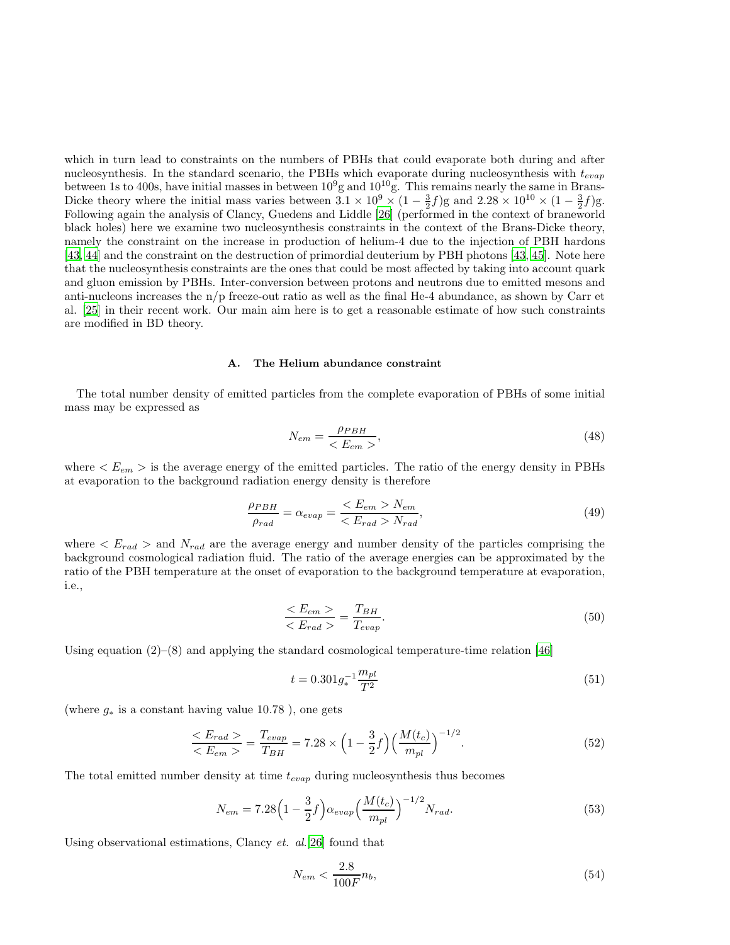which in turn lead to constraints on the numbers of PBHs that could evaporate both during and after nucleosynthesis. In the standard scenario, the PBHs which evaporate during nucleosynthesis with  $t_{evap}$ between 1s to 400s, have initial masses in between  $10^9$ g and  $10^{10}$ g. This remains nearly the same in Brans-Dicke theory where the initial mass varies between  $3.1 \times 10^9 \times (1 - \frac{3}{2}f)$ g and  $2.28 \times 10^{10} \times (1 - \frac{3}{2}f)$ g. Following again the analysis of Clancy, Guedens and Liddle [\[26\]](#page-13-12) (performed in the context of braneworld black holes) here we examine two nucleosynthesis constraints in the context of the Brans-Dicke theory, namely the constraint on the increase in production of helium-4 due to the injection of PBH hardons [\[43,](#page-14-3) [44\]](#page-14-4) and the constraint on the destruction of primordial deuterium by PBH photons [\[43,](#page-14-3) [45](#page-14-5)]. Note here that the nucleosynthesis constraints are the ones that could be most affected by taking into account quark and gluon emission by PBHs. Inter-conversion between protons and neutrons due to emitted mesons and anti-nucleons increases the n/p freeze-out ratio as well as the final He-4 abundance, as shown by Carr et al. [\[25\]](#page-13-11) in their recent work. Our main aim here is to get a reasonable estimate of how such constraints are modified in BD theory.

#### <span id="page-8-0"></span>A. The Helium abundance constraint

The total number density of emitted particles from the complete evaporation of PBHs of some initial mass may be expressed as

$$
N_{em} = \frac{\rho_{PBH}}{E_{em}},\tag{48}
$$

where  $\leq E_{em}$  is the average energy of the emitted particles. The ratio of the energy density in PBHs at evaporation to the background radiation energy density is therefore

$$
\frac{\rho_{PBH}}{\rho_{rad}} = \alpha_{evap} = \frac{\langle E_{em} \rangle N_{em}}{\langle E_{rad} \rangle N_{rad}},\tag{49}
$$

where  $\langle E_{rad} \rangle$  and  $N_{rad}$  are the average energy and number density of the particles comprising the background cosmological radiation fluid. The ratio of the average energies can be approximated by the ratio of the PBH temperature at the onset of evaporation to the background temperature at evaporation, i.e.,

$$
\frac{E_{em}}{E_{rad}} = \frac{T_{BH}}{T_{evap}}.\tag{50}
$$

Using equation  $(2)$ – $(8)$  and applying the standard cosmological temperature-time relation [\[46\]](#page-14-6)

$$
t = 0.301g_*^{-1} \frac{m_{pl}}{T^2} \tag{51}
$$

(where  $g_*$  is a constant having value 10.78), one gets

$$
\frac{E_{rad}}{E_{em}} = \frac{T_{evap}}{T_{BH}} = 7.28 \times \left(1 - \frac{3}{2}f\right) \left(\frac{M(t_c)}{m_{pl}}\right)^{-1/2}.
$$
\n(52)

The total emitted number density at time  $t_{evap}$  during nucleosynthesis thus becomes

$$
N_{em} = 7.28 \left( 1 - \frac{3}{2} f \right) \alpha_{evap} \left( \frac{M(t_c)}{m_{pl}} \right)^{-1/2} N_{rad}.
$$
 (53)

Using observational estimations, Clancy et. al.[\[26](#page-13-12)] found that

$$
N_{em} < \frac{2.8}{100F} n_b,\tag{54}
$$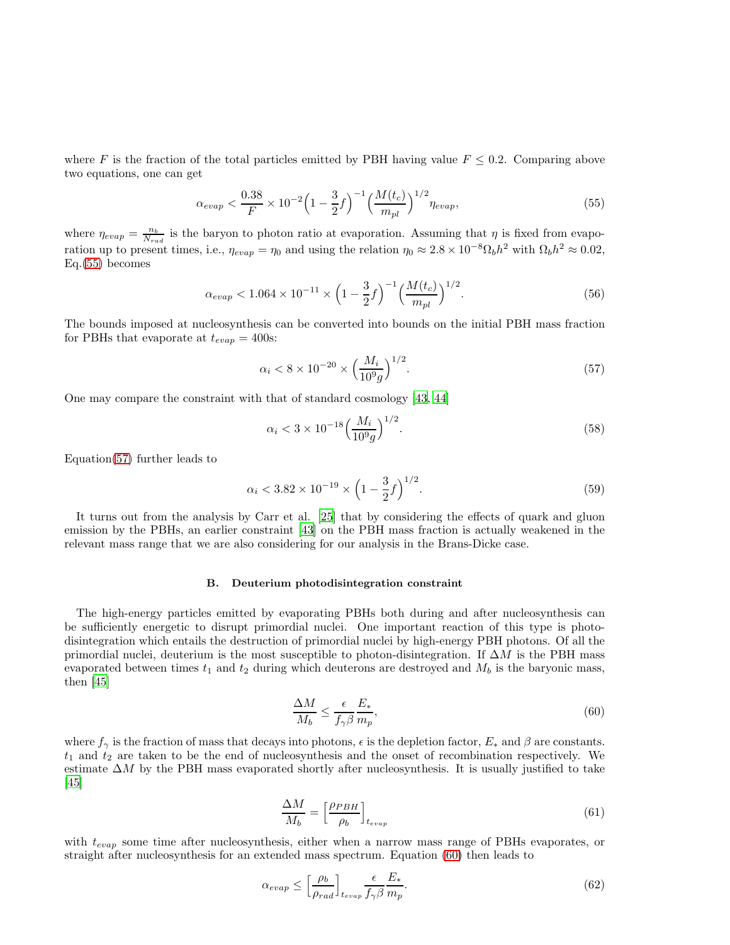where F is the fraction of the total particles emitted by PBH having value  $F \leq 0.2$ . Comparing above two equations, one can get

<span id="page-9-1"></span>
$$
\alpha_{evap} < \frac{0.38}{F} \times 10^{-2} \left( 1 - \frac{3}{2} f \right)^{-1} \left( \frac{M(t_c)}{m_{pl}} \right)^{1/2} \eta_{evap},\tag{55}
$$

where  $\eta_{evap} = \frac{n_b}{N_{rad}}$  is the baryon to photon ratio at evaporation. Assuming that  $\eta$  is fixed from evaporation up to present times, i.e.,  $\eta_{evap} = \eta_0$  and using the relation  $\eta_0 \approx 2.8 \times 10^{-8} \Omega_b h^2$  with  $\Omega_b h^2 \approx 0.02$ , Eq.[\(55\)](#page-9-1) becomes

$$
\alpha_{evap} < 1.064 \times 10^{-11} \times \left(1 - \frac{3}{2}f\right)^{-1} \left(\frac{M(t_c)}{m_{pl}}\right)^{1/2}.\tag{56}
$$

The bounds imposed at nucleosynthesis can be converted into bounds on the initial PBH mass fraction for PBHs that evaporate at  $t_{evap} = 400$ s:

<span id="page-9-2"></span>
$$
\alpha_i < 8 \times 10^{-20} \times \left(\frac{M_i}{10^9 g}\right)^{1/2}.\tag{57}
$$

One may compare the constraint with that of standard cosmology [\[43](#page-14-3), [44\]](#page-14-4)

$$
\alpha_i < 3 \times 10^{-18} \left(\frac{M_i}{10^9 g}\right)^{1/2}.\tag{58}
$$

Equation[\(57\)](#page-9-2) further leads to

$$
\alpha_i < 3.82 \times 10^{-19} \times \left(1 - \frac{3}{2}f\right)^{1/2}.\tag{59}
$$

It turns out from the analysis by Carr et al. [\[25](#page-13-11)] that by considering the effects of quark and gluon emission by the PBHs, an earlier constraint [\[43\]](#page-14-3) on the PBH mass fraction is actually weakened in the relevant mass range that we are also considering for our analysis in the Brans-Dicke case.

# <span id="page-9-0"></span>B. Deuterium photodisintegration constraint

The high-energy particles emitted by evaporating PBHs both during and after nucleosynthesis can be sufficiently energetic to disrupt primordial nuclei. One important reaction of this type is photodisintegration which entails the destruction of primordial nuclei by high-energy PBH photons. Of all the primordial nuclei, deuterium is the most susceptible to photon-disintegration. If  $\Delta M$  is the PBH mass evaporated between times  $t_1$  and  $t_2$  during which deuterons are destroyed and  $M_b$  is the baryonic mass, then [\[45\]](#page-14-5)

<span id="page-9-3"></span>
$$
\frac{\Delta M}{M_b} \le \frac{\epsilon}{f_\gamma \beta} \frac{E_*}{m_p},\tag{60}
$$

where  $f_{\gamma}$  is the fraction of mass that decays into photons,  $\epsilon$  is the depletion factor,  $E_*$  and  $\beta$  are constants.  $t_1$  and  $t_2$  are taken to be the end of nucleosynthesis and the onset of recombination respectively. We estimate  $\Delta M$  by the PBH mass evaporated shortly after nucleosynthesis. It is usually justified to take  $|45|$ 

$$
\frac{\Delta M}{M_b} = \left[\frac{\rho_{PBH}}{\rho_b}\right]_{t_{evap}}\tag{61}
$$

with  $t_{evap}$  some time after nucleosynthesis, either when a narrow mass range of PBHs evaporates, or straight after nucleosynthesis for an extended mass spectrum. Equation [\(60\)](#page-9-3) then leads to

<span id="page-9-4"></span>
$$
\alpha_{evap} \le \left[\frac{\rho_b}{\rho_{rad}}\right]_{t_{evap}} \frac{\epsilon}{f_\gamma \beta} \frac{E_*}{m_p}.\tag{62}
$$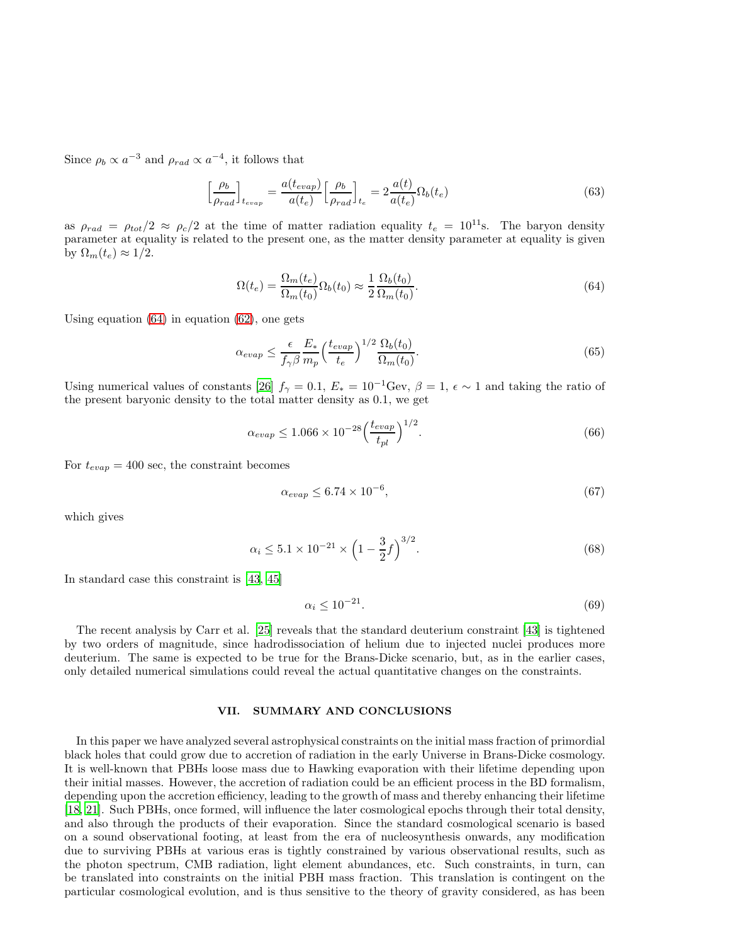Since  $\rho_b \propto a^{-3}$  and  $\rho_{rad} \propto a^{-4}$ , it follows that

$$
\left[\frac{\rho_b}{\rho_{rad}}\right]_{t_{evap}} = \frac{a(t_{evap})}{a(t_e)} \left[\frac{\rho_b}{\rho_{rad}}\right]_{t_e} = 2 \frac{a(t)}{a(t_e)} \Omega_b(t_e)
$$
\n(63)

as  $\rho_{rad} = \rho_{tot}/2 \approx \rho_c/2$  at the time of matter radiation equality  $t_e = 10^{11}$ s. The baryon density parameter at equality is related to the present one, as the matter density parameter at equality is given by  $\Omega_m(t_e) \approx 1/2$ .

<span id="page-10-1"></span>
$$
\Omega(t_e) = \frac{\Omega_m(t_e)}{\Omega_m(t_0)} \Omega_b(t_0) \approx \frac{1}{2} \frac{\Omega_b(t_0)}{\Omega_m(t_0)}.
$$
\n(64)

Using equation  $(64)$  in equation  $(62)$ , one gets

$$
\alpha_{evap} \le \frac{\epsilon}{f_{\gamma}\beta} \frac{E_*}{m_p} \left(\frac{t_{evap}}{t_e}\right)^{1/2} \frac{\Omega_b(t_0)}{\Omega_m(t_0)}.
$$
\n(65)

Using numerical values of constants [\[26](#page-13-12)]  $f_{\gamma} = 0.1, E_* = 10^{-1}$ Gev,  $\beta = 1, \epsilon \sim 1$  and taking the ratio of the present baryonic density to the total matter density as 0.1, we get

$$
\alpha_{evap} \le 1.066 \times 10^{-28} \left(\frac{t_{evap}}{t_{pl}}\right)^{1/2}.
$$
\n(66)

For  $t_{evap} = 400$  sec, the constraint becomes

$$
\alpha_{evap} \le 6.74 \times 10^{-6},\tag{67}
$$

which gives

$$
\alpha_i \le 5.1 \times 10^{-21} \times \left(1 - \frac{3}{2}f\right)^{3/2}.\tag{68}
$$

In standard case this constraint is [\[43](#page-14-3), [45](#page-14-5)]

$$
\alpha_i \le 10^{-21}.\tag{69}
$$

The recent analysis by Carr et al. [\[25\]](#page-13-11) reveals that the standard deuterium constraint [\[43](#page-14-3)] is tightened by two orders of magnitude, since hadrodissociation of helium due to injected nuclei produces more deuterium. The same is expected to be true for the Brans-Dicke scenario, but, as in the earlier cases, only detailed numerical simulations could reveal the actual quantitative changes on the constraints.

#### <span id="page-10-0"></span>VII. SUMMARY AND CONCLUSIONS

In this paper we have analyzed several astrophysical constraints on the initial mass fraction of primordial black holes that could grow due to accretion of radiation in the early Universe in Brans-Dicke cosmology. It is well-known that PBHs loose mass due to Hawking evaporation with their lifetime depending upon their initial masses. However, the accretion of radiation could be an efficient process in the BD formalism, depending upon the accretion efficiency, leading to the growth of mass and thereby enhancing their lifetime [\[18,](#page-13-5) [21](#page-13-8)]. Such PBHs, once formed, will influence the later cosmological epochs through their total density, and also through the products of their evaporation. Since the standard cosmological scenario is based on a sound observational footing, at least from the era of nucleosynthesis onwards, any modification due to surviving PBHs at various eras is tightly constrained by various observational results, such as the photon spectrum, CMB radiation, light element abundances, etc. Such constraints, in turn, can be translated into constraints on the initial PBH mass fraction. This translation is contingent on the particular cosmological evolution, and is thus sensitive to the theory of gravity considered, as has been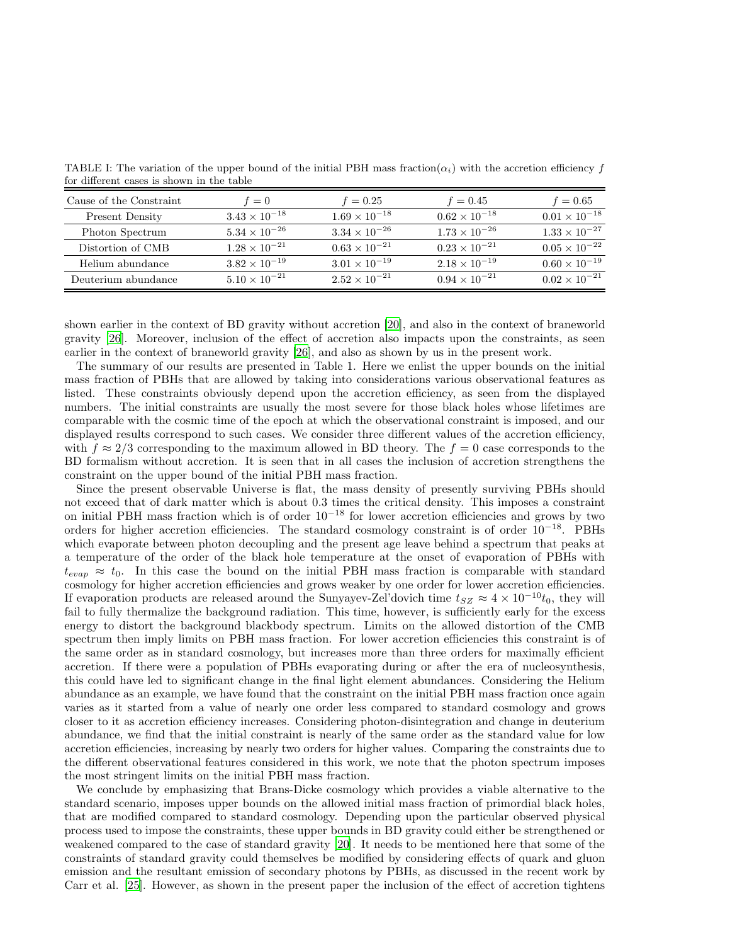| Cause of the Constraint | $f=0$                  | $f = 0.25$             | $f = 0.45$             | $f = 0.65$             |
|-------------------------|------------------------|------------------------|------------------------|------------------------|
| Present Density         | $3.43 \times 10^{-18}$ | $1.69 \times 10^{-18}$ | $0.62 \times 10^{-18}$ | $0.01 \times 10^{-18}$ |
| Photon Spectrum         | $5.34 \times 10^{-26}$ | $3.34 \times 10^{-26}$ | $1.73 \times 10^{-26}$ | $1.33 \times 10^{-27}$ |
| Distortion of CMB       | $1.28 \times 10^{-21}$ | $0.63 \times 10^{-21}$ | $0.23 \times 10^{-21}$ | $0.05 \times 10^{-22}$ |
| Helium abundance        | $3.82 \times 10^{-19}$ | $3.01 \times 10^{-19}$ | $2.18 \times 10^{-19}$ | $0.60 \times 10^{-19}$ |
| Deuterium abundance     | $5.10 \times 10^{-21}$ | $2.52 \times 10^{-21}$ | $0.94 \times 10^{-21}$ | $0.02 \times 10^{-21}$ |

TABLE I: The variation of the upper bound of the initial PBH mass fraction( $\alpha_i$ ) with the accretion efficiency f for different cases is shown in the table

shown earlier in the context of BD gravity without accretion [\[20\]](#page-13-7), and also in the context of braneworld gravity [\[26\]](#page-13-12). Moreover, inclusion of the effect of accretion also impacts upon the constraints, as seen earlier in the context of braneworld gravity [\[26](#page-13-12)], and also as shown by us in the present work.

The summary of our results are presented in Table 1. Here we enlist the upper bounds on the initial mass fraction of PBHs that are allowed by taking into considerations various observational features as listed. These constraints obviously depend upon the accretion efficiency, as seen from the displayed numbers. The initial constraints are usually the most severe for those black holes whose lifetimes are comparable with the cosmic time of the epoch at which the observational constraint is imposed, and our displayed results correspond to such cases. We consider three different values of the accretion efficiency, with  $f \approx 2/3$  corresponding to the maximum allowed in BD theory. The  $f = 0$  case corresponds to the BD formalism without accretion. It is seen that in all cases the inclusion of accretion strengthens the constraint on the upper bound of the initial PBH mass fraction.

Since the present observable Universe is flat, the mass density of presently surviving PBHs should not exceed that of dark matter which is about 0.3 times the critical density. This imposes a constraint on initial PBH mass fraction which is of order  $10^{-18}$  for lower accretion efficiencies and grows by two orders for higher accretion efficiencies. The standard cosmology constraint is of order  $10^{-18}$ . PBHs which evaporate between photon decoupling and the present age leave behind a spectrum that peaks at a temperature of the order of the black hole temperature at the onset of evaporation of PBHs with  $t_{evap} \approx t_0$ . In this case the bound on the initial PBH mass fraction is comparable with standard cosmology for higher accretion efficiencies and grows weaker by one order for lower accretion efficiencies. If evaporation products are released around the Sunyayev-Zel'dovich time  $t_{SZ} \approx 4 \times 10^{-10} t_0$ , they will fail to fully thermalize the background radiation. This time, however, is sufficiently early for the excess energy to distort the background blackbody spectrum. Limits on the allowed distortion of the CMB spectrum then imply limits on PBH mass fraction. For lower accretion efficiencies this constraint is of the same order as in standard cosmology, but increases more than three orders for maximally efficient accretion. If there were a population of PBHs evaporating during or after the era of nucleosynthesis, this could have led to significant change in the final light element abundances. Considering the Helium abundance as an example, we have found that the constraint on the initial PBH mass fraction once again varies as it started from a value of nearly one order less compared to standard cosmology and grows closer to it as accretion efficiency increases. Considering photon-disintegration and change in deuterium abundance, we find that the initial constraint is nearly of the same order as the standard value for low accretion efficiencies, increasing by nearly two orders for higher values. Comparing the constraints due to the different observational features considered in this work, we note that the photon spectrum imposes the most stringent limits on the initial PBH mass fraction.

We conclude by emphasizing that Brans-Dicke cosmology which provides a viable alternative to the standard scenario, imposes upper bounds on the allowed initial mass fraction of primordial black holes, that are modified compared to standard cosmology. Depending upon the particular observed physical process used to impose the constraints, these upper bounds in BD gravity could either be strengthened or weakened compared to the case of standard gravity [\[20](#page-13-7)]. It needs to be mentioned here that some of the constraints of standard gravity could themselves be modified by considering effects of quark and gluon emission and the resultant emission of secondary photons by PBHs, as discussed in the recent work by Carr et al. [\[25\]](#page-13-11). However, as shown in the present paper the inclusion of the effect of accretion tightens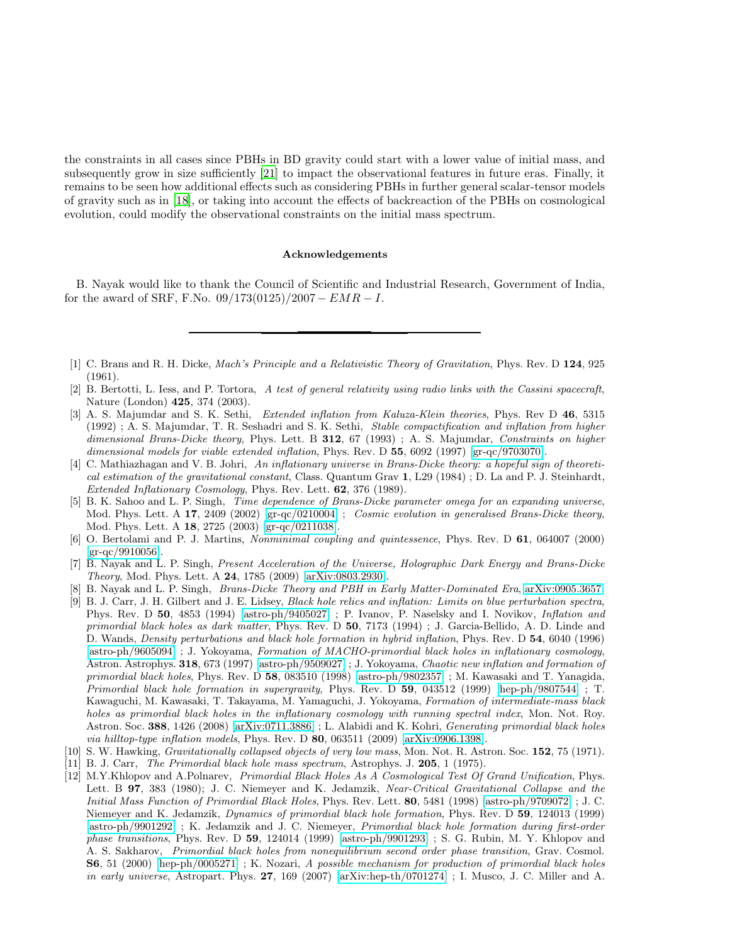the constraints in all cases since PBHs in BD gravity could start with a lower value of initial mass, and subsequently grow in size sufficiently [\[21\]](#page-13-8) to impact the observational features in future eras. Finally, it remains to be seen how additional effects such as considering PBHs in further general scalar-tensor models of gravity such as in [\[18\]](#page-13-5), or taking into account the effects of backreaction of the PBHs on cosmological evolution, could modify the observational constraints on the initial mass spectrum.

### <span id="page-12-1"></span><span id="page-12-0"></span>Acknowledgements

B. Nayak would like to thank the Council of Scientific and Industrial Research, Government of India, for the award of SRF, F.No.  $09/173(0125)/2007 - EMR - I$ .

- <span id="page-12-2"></span>[1] C. Brans and R. H. Dicke, Mach's Principle and a Relativistic Theory of Gravitation, Phys. Rev. D 124, 925 (1961).
- <span id="page-12-3"></span>[2] B. Bertotti, L. Iess, and P. Tortora, A test of general relativity using radio links with the Cassini spacecraft, Nature (London) 425, 374 (2003).
- <span id="page-12-4"></span>[3] A. S. Majumdar and S. K. Sethi, Extended inflation from Kaluza-Klein theories, Phys. Rev D 46, 5315 (1992) ; A. S. Majumdar, T. R. Seshadri and S. K. Sethi, Stable compactification and inflation from higher dimensional Brans-Dicke theory, Phys. Lett. B 312, 67 (1993) ; A. S. Majumdar, Constraints on higher dimensional models for viable extended inflation, Phys. Rev. D 55, 6092 (1997) [\[gr-qc/9703070\]](http://arxiv.org/abs/gr-qc/9703070).
- <span id="page-12-5"></span>[4] C. Mathiazhagan and V. B. Johri, An inflationary universe in Brans-Dicke theory: a hopeful sign of theoretical estimation of the gravitational constant, Class. Quantum Grav 1, L29 (1984) ; D. La and P. J. Steinhardt, Extended Inflationary Cosmology, Phys. Rev. Lett. 62, 376 (1989).
- <span id="page-12-6"></span>[5] B. K. Sahoo and L. P. Singh, Time dependence of Brans-Dicke parameter omega for an expanding universe, Mod. Phys. Lett. A 17, 2409 (2002) [\[gr-qc/0210004\]](http://arxiv.org/abs/gr-qc/0210004) ; Cosmic evolution in generalised Brans-Dicke theory, Mod. Phys. Lett. A 18, 2725 (2003) [\[gr-qc/0211038\]](http://arxiv.org/abs/gr-qc/0211038).
- <span id="page-12-7"></span>[6] O. Bertolami and P. J. Martins, Nonminimal coupling and quintessence, Phys. Rev. D 61, 064007 (2000) [\[gr-qc/9910056\]](http://arxiv.org/abs/gr-qc/9910056).
- <span id="page-12-8"></span>[7] B. Nayak and L. P. Singh, Present Acceleration of the Universe, Holographic Dark Energy and Brans-Dicke Theory, Mod. Phys. Lett. A 24, 1785 (2009) [\[arXiv:0803.2930\]](http://arxiv.org/abs/0803.2930).
- <span id="page-12-9"></span>[8] B. Nayak and L. P. Singh, *Brans-Dicke Theory and PBH in Early Matter-Dominated Era*, [arXiv:0905.3657.](http://arxiv.org/abs/0905.3657)
- <span id="page-12-10"></span>[9] B. J. Carr, J. H. Gilbert and J. E. Lidsey, Black hole relics and inflation: Limits on blue perturbation spectra, Phys. Rev. D 50, 4853 (1994) [\[astro-ph/9405027\]](http://arxiv.org/abs/astro-ph/9405027) ; P. Ivanov, P. Naselsky and I. Novikov, Inflation and primordial black holes as dark matter, Phys. Rev. D 50, 7173 (1994) ; J. Garcia-Bellido, A. D. Linde and D. Wands, Density perturbations and black hole formation in hybrid inflation, Phys. Rev. D 54, 6040 (1996) [\[astro-ph/9605094\]](http://arxiv.org/abs/astro-ph/9605094) ; J. Yokoyama, Formation of MACHO-primordial black holes in inflationary cosmology, Astron. Astrophys. 318, 673 (1997) [\[astro-ph/9509027\]](http://arxiv.org/abs/astro-ph/9509027) ; J. Yokoyama, Chaotic new inflation and formation of primordial black holes, Phys. Rev. D 58, 083510 (1998) [\[astro-ph/9802357\]](http://arxiv.org/abs/astro-ph/9802357) ; M. Kawasaki and T. Yanagida, Primordial black hole formation in supergravity, Phys. Rev. D 59, 043512 (1999) [\[hep-ph/9807544\]](http://arxiv.org/abs/hep-ph/9807544) ; T. Kawaguchi, M. Kawasaki, T. Takayama, M. Yamaguchi, J. Yokoyama, Formation of intermediate-mass black holes as primordial black holes in the inflationary cosmology with running spectral index, Mon. Not. Roy. Astron. Soc. 388, 1426 (2008) [\[arXiv:0711.3886\]](http://arxiv.org/abs/0711.3886) ; L. Alabidi and K. Kohri, Generating primordial black holes *via hilltop-type inflation models*, Phys. Rev. D  $80$ , 063511 (2009) [\[arXiv:0906.1398\]](http://arxiv.org/abs/0906.1398).
- <span id="page-12-11"></span>[10] S. W. Hawking, *Gravitationally collapsed objects of very low mass*, Mon. Not. R. Astron. Soc. 152, 75 (1971).
- <span id="page-12-12"></span>[11] B. J. Carr, The Primordial black hole mass spectrum, Astrophys. J. 205, 1 (1975).
- <span id="page-12-13"></span>[12] M.Y.Khlopov and A.Polnarev, Primordial Black Holes As A Cosmological Test Of Grand Unification, Phys. Lett. B 97, 383 (1980); J. C. Niemeyer and K. Jedamzik, Near-Critical Gravitational Collapse and the Initial Mass Function of Primordial Black Holes, Phys. Rev. Lett. 80, 5481 (1998) [\[astro-ph/9709072\]](http://arxiv.org/abs/astro-ph/9709072) ; J. C. Niemeyer and K. Jedamzik, Dynamics of primordial black hole formation, Phys. Rev. D 59, 124013 (1999) [\[astro-ph/9901292\]](http://arxiv.org/abs/astro-ph/9901292) ; K. Jedamzik and J. C. Niemeyer, Primordial black hole formation during first-order phase transitions, Phys. Rev. D 59, 124014 (1999) [\[astro-ph/9901293\]](http://arxiv.org/abs/astro-ph/9901293) ; S. G. Rubin, M. Y. Khlopov and A. S. Sakharov, Primordial black holes from nonequilibrium second order phase transition, Grav. Cosmol. S6, 51 (2000) [\[hep-ph/0005271\]](http://arxiv.org/abs/hep-ph/0005271) ; K. Nozari, A possible mechanism for production of primordial black holes in early universe, Astropart. Phys. 27, 169 (2007) [\[arXiv:hep-th/0701274\]](http://arxiv.org/abs/hep-th/0701274) ; I. Musco, J. C. Miller and A.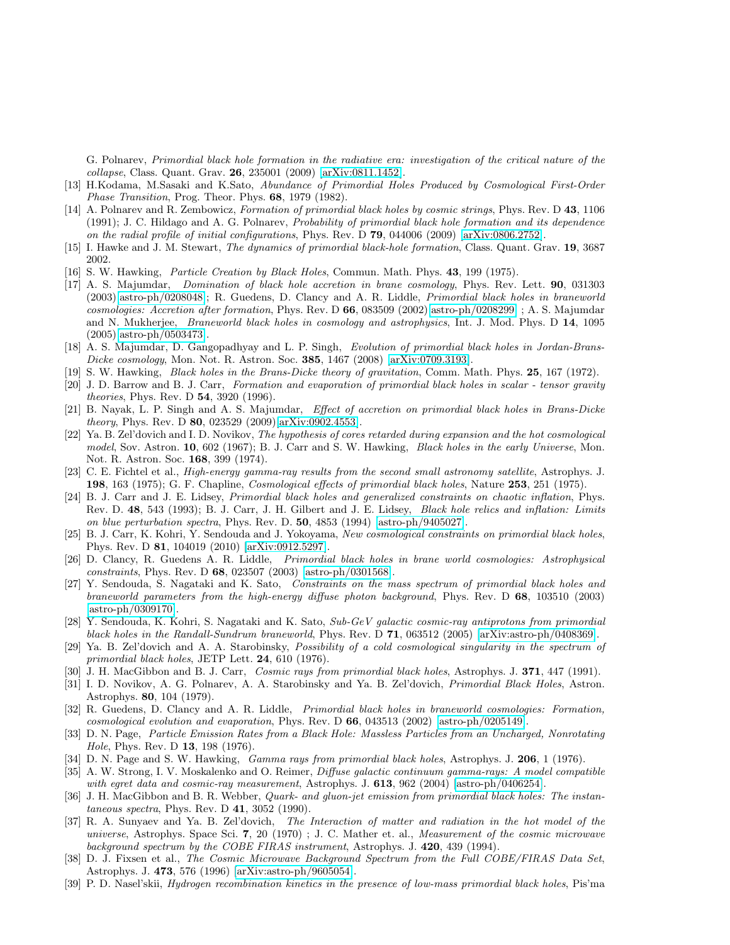G. Polnarev, Primordial black hole formation in the radiative era: investigation of the critical nature of the collapse, Class. Quant. Grav. 26, 235001 (2009) [\[arXiv:0811.1452\]](http://arxiv.org/abs/0811.1452).

- <span id="page-13-0"></span>[13] H.Kodama, M.Sasaki and K.Sato, Abundance of Primordial Holes Produced by Cosmological First-Order Phase Transition, Prog. Theor. Phys. 68, 1979 (1982).
- <span id="page-13-1"></span>[14] A. Polnarev and R. Zembowicz, Formation of primordial black holes by cosmic strings, Phys. Rev. D 43, 1106 (1991); J. C. Hildago and A. G. Polnarev, Probability of primordial black hole formation and its dependence on the radial profile of initial configurations, Phys. Rev. D 79, 044006 (2009) [\[arXiv:0806.2752\]](http://arxiv.org/abs/0806.2752).
- <span id="page-13-2"></span>[15] I. Hawke and J. M. Stewart, The dynamics of primordial black-hole formation, Class. Quant. Grav. 19, 3687 2002.
- <span id="page-13-3"></span>[16] S. W. Hawking, Particle Creation by Black Holes, Commun. Math. Phys. 43, 199 (1975).
- <span id="page-13-4"></span>[17] A. S. Majumdar, Domination of black hole accretion in brane cosmology, Phys. Rev. Lett. 90, 031303 (2003)[\[astro-ph/0208048\]](http://arxiv.org/abs/astro-ph/0208048); R. Guedens, D. Clancy and A. R. Liddle, Primordial black holes in braneworld cosmologies: Accretion after formation, Phys. Rev. D 66, 083509 (2002)[\[astro-ph/0208299\]](http://arxiv.org/abs/astro-ph/0208299) ; A. S. Majumdar and N. Mukherjee, Braneworld black holes in cosmology and astrophysics, Int. J. Mod. Phys. D 14, 1095 (2005)[\[astro-ph/0503473\]](http://arxiv.org/abs/astro-ph/0503473).
- <span id="page-13-5"></span>[18] A. S. Majumdar, D. Gangopadhyay and L. P. Singh, Evolution of primordial black holes in Jordan-Brans-Dicke cosmology, Mon. Not. R. Astron. Soc. 385, 1467 (2008) [\[arXiv:0709.3193\]](http://arxiv.org/abs/0709.3193).
- <span id="page-13-6"></span>[19] S. W. Hawking, Black holes in the Brans-Dicke theory of gravitation, Comm. Math. Phys. 25, 167 (1972).
- <span id="page-13-7"></span>[20] J. D. Barrow and B. J. Carr, Formation and evaporation of primordial black holes in scalar - tensor gravity theories, Phys. Rev. D 54, 3920 (1996).
- <span id="page-13-8"></span>[21] B. Nayak, L. P. Singh and A. S. Majumdar, Effect of accretion on primordial black holes in Brans-Dicke theory, Phys. Rev. D 80, 023529 (2009)[\[arXiv:0902.4553\]](http://arxiv.org/abs/0902.4553).
- <span id="page-13-9"></span>[22] Ya. B. Zel'dovich and I. D. Novikov, The hypothesis of cores retarded during expansion and the hot cosmological model, Sov. Astron. 10, 602 (1967); B. J. Carr and S. W. Hawking, *Black holes in the early Universe*, Mon. Not. R. Astron. Soc. 168, 399 (1974).
- <span id="page-13-21"></span>[23] C. E. Fichtel et al., High-energy gamma-ray results from the second small astronomy satellite, Astrophys. J. 198, 163 (1975); G. F. Chapline, Cosmological effects of primordial black holes, Nature 253, 251 (1975).
- <span id="page-13-10"></span>[24] B. J. Carr and J. E. Lidsey, Primordial black holes and generalized constraints on chaotic inflation, Phys. Rev. D. 48, 543 (1993); B. J. Carr, J. H. Gilbert and J. E. Lidsey, Black hole relics and inflation: Limits on blue perturbation spectra, Phys. Rev. D. 50, 4853 (1994) [\[astro-ph/9405027\]](http://arxiv.org/abs/astro-ph/9405027).
- <span id="page-13-11"></span>[25] B. J. Carr, K. Kohri, Y. Sendouda and J. Yokoyama, New cosmological constraints on primordial black holes, Phys. Rev. D 81, 104019 (2010) [\[arXiv:0912.5297\]](http://arxiv.org/abs/0912.5297).
- <span id="page-13-12"></span>[26] D. Clancy, R. Guedens A. R. Liddle, Primordial black holes in brane world cosmologies: Astrophysical constraints, Phys. Rev. D 68, 023507 (2003) [\[astro-ph/0301568\]](http://arxiv.org/abs/astro-ph/0301568).
- <span id="page-13-19"></span>[27] Y. Sendouda, S. Nagataki and K. Sato, Constraints on the mass spectrum of primordial black holes and braneworld parameters from the high-energy diffuse photon background, Phys. Rev. D 68, 103510 (2003) [\[astro-ph/0309170\]](http://arxiv.org/abs/astro-ph/0309170).
- <span id="page-13-13"></span>[28] Y. Sendouda, K. Kohri, S. Nagataki and K. Sato, Sub-GeV galactic cosmic-ray antiprotons from primordial black holes in the Randall-Sundrum braneworld, Phys. Rev. D 71, 063512 (2005) [\[arXiv:astro-ph/0408369\]](http://arxiv.org/abs/astro-ph/0408369).
- <span id="page-13-14"></span>[29] Ya. B. Zel'dovich and A. A. Starobinsky, Possibility of a cold cosmological singularity in the spectrum of primordial black holes, JETP Lett. 24, 610 (1976).
- <span id="page-13-15"></span>[30] J. H. MacGibbon and B. J. Carr, Cosmic rays from primordial black holes, Astrophys. J. 371, 447 (1991).
- <span id="page-13-17"></span>[31] I. D. Novikov, A. G. Polnarev, A. A. Starobinsky and Ya. B. Zel'dovich, Primordial Black Holes, Astron. Astrophys. 80, 104 (1979).
- [32] R. Guedens, D. Clancy and A. R. Liddle, Primordial black holes in braneworld cosmologies: Formation, cosmological evolution and evaporation, Phys. Rev. D 66, 043513 (2002) [\[astro-ph/0205149\]](http://arxiv.org/abs/astro-ph/0205149).
- <span id="page-13-18"></span>[33] D. N. Page, Particle Emission Rates from a Black Hole: Massless Particles from an Uncharged, Nonrotating Hole, Phys. Rev. D 13, 198 (1976).
- <span id="page-13-16"></span>[34] D. N. Page and S. W. Hawking, *Gamma rays from primordial black holes*, Astrophys. J. 206, 1 (1976).
- <span id="page-13-20"></span>[35] A. W. Strong, I. V. Moskalenko and O. Reimer, Diffuse galactic continuum gamma-rays: A model compatible with egret data and cosmic-ray measurement, Astrophys. J. **613**, 962 (2004) [\[astro-ph/0406254\]](http://arxiv.org/abs/astro-ph/0406254).
- <span id="page-13-22"></span>[36] J. H. MacGibbon and B. R. Webber, Quark- and gluon-jet emission from primordial black holes: The instantaneous spectra, Phys. Rev. D 41, 3052 (1990).
- <span id="page-13-23"></span>[37] R. A. Sunyaev and Ya. B. Zel'dovich, The Interaction of matter and radiation in the hot model of the universe, Astrophys. Space Sci. 7, 20 (1970) ; J. C. Mather et. al., Measurement of the cosmic microwave background spectrum by the COBE FIRAS instrument, Astrophys. J. 420, 439 (1994).
- <span id="page-13-24"></span>[38] D. J. Fixsen et al., The Cosmic Microwave Background Spectrum from the Full COBE/FIRAS Data Set, Astrophys. J. 473, 576 (1996) [\[arXiv:astro-ph/9605054\]](http://arxiv.org/abs/astro-ph/9605054).
- <span id="page-13-25"></span>[39] P. D. Nasel'skii, Hydrogen recombination kinetics in the presence of low-mass primordial black holes, Pis'ma